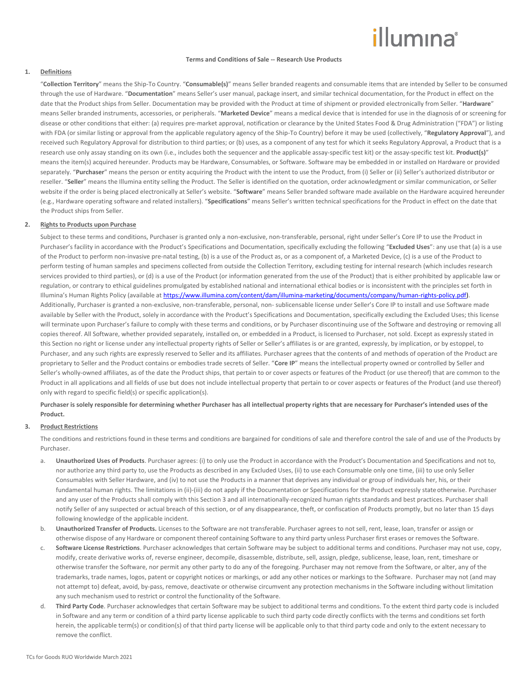# illumına

#### **Terms and Conditions of Sale -- Research Use Products**

# **1. Definitions**

"**Collection Territory**" means the Ship-To Country. "**Consumable(s)**" means Seller branded reagents and consumable items that are intended by Seller to be consumed through the use of Hardware. "**Documentation**" means Seller's user manual, package insert, and similar technical documentation, for the Product in effect on the date that the Product ships from Seller. Documentation may be provided with the Product at time of shipment or provided electronically from Seller. "**Hardware**" means Seller branded instruments, accessories, or peripherals. "**Marketed Device**" means a medical device that is intended for use in the diagnosis of or screening for disease or other conditions that either: (a) requires pre-market approval, notification or clearance by the United States Food & Drug Administration ("FDA") or listing with FDA (or similar listing or approval from the applicable regulatory agency of the Ship-To Country) before it may be used (collectively, "**Regulatory Approval**"), and received such Regulatory Approval for distribution to third parties; or (b) uses, as a component of any test for which it seeks Regulatory Approval, a Product that is a research use only assay standing on its own (i.e., includes both the sequencer and the applicable assay-specific test kit) or the assay-specific test kit. **Product(s)**" means the item(s) acquired hereunder. Products may be Hardware, Consumables, or Software. Software may be embedded in or installed on Hardware or provided separately. "Purchaser" means the person or entity acquiring the Product with the intent to use the Product, from (i) Seller or (ii) Seller's authorized distributor or reseller. "**Seller**" means the Illumina entity selling the Product. The Seller is identified on the quotation, order acknowledgment or similar communication, or Seller website if the order is being placed electronically at Seller's website. "**Software**" means Seller branded software made available on the Hardware acquired hereunder (e.g., Hardware operating software and related installers). "**Specifications**" means Seller's written technical specifications for the Product in effect on the date that the Product ships from Seller.

#### **2. Rights to Products upon Purchase**

Subject to these terms and conditions, Purchaser is granted only a non-exclusive, non-transferable, personal, right under Seller's Core IP to use the Product in Purchaser's facility in accordance with the Product's Specifications and Documentation, specifically excluding the following "**Excluded Uses**": any use that (a) is a use of the Product to perform non-invasive pre-natal testing, (b) is a use of the Product as, or as a component of, a Marketed Device, (c) is a use of the Product to perform testing of human samples and specimens collected from outside the Collection Territory, excluding testing for internal research (which includes research services provided to third parties), or (d) is a use of the Product (or information generated from the use of the Product) that is either prohibited by applicable law or regulation, or contrary to ethical guidelines promulgated by established national and international ethical bodies or is inconsistent with the principles set forth in Illumina's Human Rights Policy (available at [https://www.illumina.com/content/dam/illumina-marketing/documents/company/human-rights-policy.pdf\)](https://www.illumina.com/content/dam/illumina-marketing/documents/company/human-rights-policy.pdf). Additionally, Purchaser is granted a non-exclusive, non-transferable, personal, non- sublicensable license under Seller's Core IP to install and use Software made available by Seller with the Product, solely in accordance with the Product's Specifications and Documentation, specifically excluding the Excluded Uses; this license will terminate upon Purchaser's failure to comply with these terms and conditions, or by Purchaser discontinuing use of the Software and destroying or removing all copies thereof. All Software, whether provided separately, installed on, or embedded in a Product, is licensed to Purchaser, not sold. Except as expressly stated in this Section no right or license under any intellectual property rights of Seller or Seller's affiliates is or are granted, expressly, by implication, or by estoppel, to Purchaser, and any such rights are expressly reserved to Seller and its affiliates. Purchaser agrees that the contents of and methods of operation of the Product are proprietary to Seller and the Product contains or embodies trade secrets of Seller. "**Core IP**" means the intellectual property owned or controlled by Seller and Seller's wholly-owned affiliates, as of the date the Product ships, that pertain to or cover aspects or features of the Product (or use thereof) that are common to the Product in all applications and all fields of use but does not include intellectual property that pertain to or cover aspects or features of the Product (and use thereof) only with regard to specific field(s) or specific application(s).

**Purchaser is solely responsible for determining whether Purchaser has all intellectual property rights that are necessary for Purchaser's intended uses of the Product.**

# **3. Product Restrictions**

The conditions and restrictions found in these terms and conditions are bargained for conditions of sale and therefore control the sale of and use of the Products by Purchaser.

- a. **Unauthorized Uses of Products**. Purchaser agrees: (i) to only use the Product in accordance with the Product's Documentation and Specifications and not to, nor authorize any third party to, use the Products as described in any Excluded Uses, (ii) to use each Consumable only one time, (iii) to use only Seller Consumables with Seller Hardware, and (iv) to not use the Products in a manner that deprives any individual or group of individuals her, his, or their fundamental human rights. The limitations in (ii)-(iii) do not apply if the Documentation or Specifications for the Product expressly state otherwise. Purchaser and any user of the Products shall comply with this Section 3 and all internationally-recognized human rights standards and best practices. Purchaser shall notify Seller of any suspected or actual breach of this section, or of any disappearance, theft, or confiscation of Products promptly, but no later than 15 days following knowledge of the applicable incident.
- b. **Unauthorized Transfer of Products.** Licenses to the Software are not transferable. Purchaser agrees to not sell, rent, lease, loan, transfer or assign or otherwise dispose of any Hardware or component thereof containing Software to any third party unless Purchaser first erases or removes the Software.
- c. **Software License Restrictions**. Purchaser acknowledges that certain Software may be subject to additional terms and conditions. Purchaser may not use, copy, modify, create derivative works of, reverse engineer, decompile, disassemble, distribute, sell, assign, pledge, sublicense, lease, loan, rent, timeshare or otherwise transfer the Software, nor permit any other party to do any of the foregoing. Purchaser may not remove from the Software, or alter, any of the trademarks, trade names, logos, patent or copyright notices or markings, or add any other notices or markings to the Software. Purchaser may not (and may not attempt to) defeat, avoid, by-pass, remove, deactivate or otherwise circumvent any protection mechanisms in the Software including without limitation any such mechanism used to restrict or control the functionality of the Software.
- d. **Third Party Code**. Purchaser acknowledges that certain Software may be subject to additional terms and conditions. To the extent third party code is included in Software and any term or condition of a third party license applicable to such third party code directly conflicts with the terms and conditions set forth herein, the applicable term(s) or condition(s) of that third party license will be applicable only to that third party code and only to the extent necessary to remove the conflict.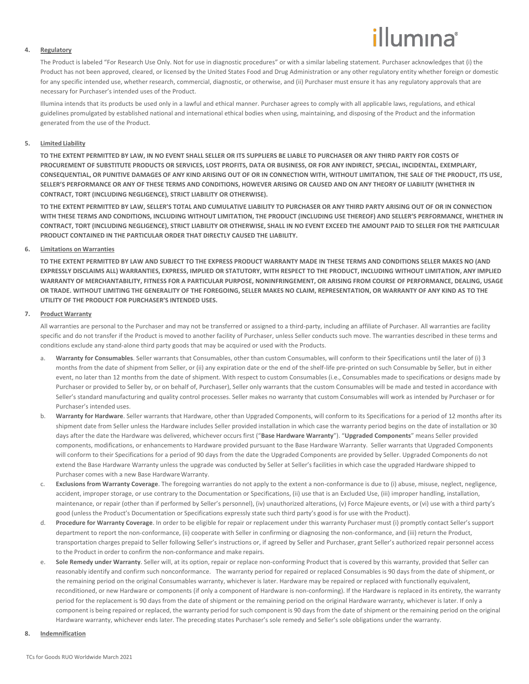# illumına

#### **4. Regulatory**

The Product is labeled "For Research Use Only. Not for use in diagnostic procedures" or with a similar labeling statement. Purchaser acknowledges that (i) the Product has not been approved, cleared, or licensed by the United States Food and Drug Administration or any other regulatory entity whether foreign or domestic for any specific intended use, whether research, commercial, diagnostic, or otherwise, and (ii) Purchaser must ensure it has any regulatory approvals that are necessary for Purchaser's intended uses of the Product.

Illumina intends that its products be used only in a lawful and ethical manner. Purchaser agrees to comply with all applicable laws, regulations, and ethical guidelines promulgated by established national and international ethical bodies when using, maintaining, and disposing of the Product and the information generated from the use of the Product.

### **5. Limited Liability**

**TO THE EXTENT PERMITTED BY LAW, IN NO EVENT SHALL SELLER OR ITS SUPPLIERS BE LIABLE TO PURCHASER OR ANY THIRD PARTY FOR COSTS OF PROCUREMENT OF SUBSTITUTE PRODUCTS OR SERVICES, LOST PROFITS, DATA OR BUSINESS, OR FOR ANY INDIRECT, SPECIAL, INCIDENTAL, EXEMPLARY, CONSEQUENTIAL, OR PUNITIVE DAMAGES OF ANY KIND ARISING OUT OF OR IN CONNECTION WITH, WITHOUT LIMITATION, THE SALE OF THE PRODUCT, ITS USE, SELLER'S PERFORMANCE OR ANY OF THESE TERMS AND CONDITIONS, HOWEVER ARISING OR CAUSED AND ON ANY THEORY OF LIABILITY (WHETHER IN CONTRACT, TORT (INCLUDING NEGLIGENCE), STRICT LIABILITY OR OTHERWISE).**

**TO THE EXTENT PERMITTED BY LAW, SELLER'S TOTAL AND CUMULATIVE LIABILITY TO PURCHASER OR ANY THIRD PARTY ARISING OUT OF OR IN CONNECTION WITH THESE TERMS AND CONDITIONS, INCLUDING WITHOUT LIMITATION, THE PRODUCT (INCLUDING USE THEREOF) AND SELLER'S PERFORMANCE, WHETHER IN CONTRACT, TORT (INCLUDING NEGLIGENCE), STRICT LIABILITY OR OTHERWISE, SHALL IN NO EVENT EXCEED THE AMOUNT PAID TO SELLER FOR THE PARTICULAR PRODUCT CONTAINED IN THE PARTICULAR ORDER THAT DIRECTLY CAUSED THE LIABILITY.**

#### **6. Limitations on Warranties**

**TO THE EXTENT PERMITTED BY LAW AND SUBJECT TO THE EXPRESS PRODUCT WARRANTY MADE IN THESE TERMS AND CONDITIONS SELLER MAKES NO (AND EXPRESSLY DISCLAIMS ALL) WARRANTIES, EXPRESS, IMPLIED OR STATUTORY, WITH RESPECT TO THE PRODUCT, INCLUDING WITHOUT LIMITATION, ANY IMPLIED WARRANTY OF MERCHANTABILITY, FITNESS FOR A PARTICULAR PURPOSE, NONINFRINGEMENT, OR ARISING FROM COURSE OF PERFORMANCE, DEALING, USAGE OR TRADE. WITHOUT LIMITING THE GENERALITY OF THE FOREGOING, SELLER MAKES NO CLAIM, REPRESENTATION, OR WARRANTY OF ANY KIND AS TO THE UTILITY OF THE PRODUCT FOR PURCHASER'S INTENDED USES.**

#### **7. Product Warranty**

All warranties are personal to the Purchaser and may not be transferred or assigned to a third-party, including an affiliate of Purchaser. All warranties are facility specific and do not transfer if the Product is moved to another facility of Purchaser, unless Seller conducts such move. The warranties described in these terms and conditions exclude any stand-alone third party goods that may be acquired or used with the Products.

- a. **Warranty for Consumables**. Seller warrants that Consumables, other than custom Consumables, will conform to their Specifications until the later of (i) 3 months from the date of shipment from Seller, or (ii) any expiration date or the end of the shelf-life pre-printed on such Consumable by Seller, but in either event, no later than 12 months from the date of shipment. With respect to custom Consumables (i.e., Consumables made to specifications or designs made by Purchaser or provided to Seller by, or on behalf of, Purchaser), Seller only warrants that the custom Consumables will be made and tested in accordance with Seller's standard manufacturing and quality control processes. Seller makes no warranty that custom Consumables will work as intended by Purchaser or for Purchaser's intended uses.
- b. **Warranty for Hardware**. Seller warrants that Hardware, other than Upgraded Components, will conform to its Specifications for a period of 12 months after its shipment date from Seller unless the Hardware includes Seller provided installation in which case the warranty period begins on the date of installation or 30 days after the date the Hardware was delivered, whichever occurs first ("**Base Hardware Warranty**"). "**Upgraded Components**" means Seller provided components, modifications, or enhancements to Hardware provided pursuant to the Base Hardware Warranty. Seller warrants that Upgraded Components will conform to their Specifications for a period of 90 days from the date the Upgraded Components are provided by Seller. Upgraded Components do not extend the Base Hardware Warranty unless the upgrade was conducted by Seller at Seller's facilities in which case the upgraded Hardware shipped to Purchaser comes with a new Base Hardware Warranty.
- c. **Exclusions from Warranty Coverage**. The foregoing warranties do not apply to the extent a non-conformance is due to (i) abuse, misuse, neglect, negligence, accident, improper storage, or use contrary to the Documentation or Specifications, (ii) use that is an Excluded Use, (iii) improper handling, installation, maintenance, or repair (other than if performed by Seller's personnel), (iv) unauthorized alterations, (v) Force Majeure events, or (vi) use with a third party's good (unless the Product's Documentation or Specifications expressly state such third party's good is for use with the Product).
- d. **Procedure for Warranty Coverage**. In order to be eligible for repair or replacement under this warranty Purchaser must (i) promptly contact Seller's support department to report the non-conformance, (ii) cooperate with Seller in confirming or diagnosing the non-conformance, and (iii) return the Product, transportation charges prepaid to Seller following Seller's instructions or, if agreed by Seller and Purchaser, grant Seller's authorized repair personnel access to the Product in order to confirm the non-conformance and make repairs.
- e. **Sole Remedy under Warranty**. Seller will, at its option, repair or replace non-conforming Product that is covered by this warranty, provided that Seller can reasonably identify and confirm such nonconformance. The warranty period for repaired or replaced Consumables is 90 days from the date of shipment, or the remaining period on the original Consumables warranty, whichever is later. Hardware may be repaired or replaced with functionally equivalent, reconditioned, or new Hardware or components (if only a component of Hardware is non-conforming). If the Hardware is replaced in its entirety, the warranty period for the replacement is 90 days from the date of shipment or the remaining period on the original Hardware warranty, whichever is later. If only a component is being repaired or replaced, the warranty period for such component is 90 days from the date of shipment or the remaining period on the original Hardware warranty, whichever ends later. The preceding states Purchaser's sole remedy and Seller's sole obligations under the warranty.

# **8. Indemnification**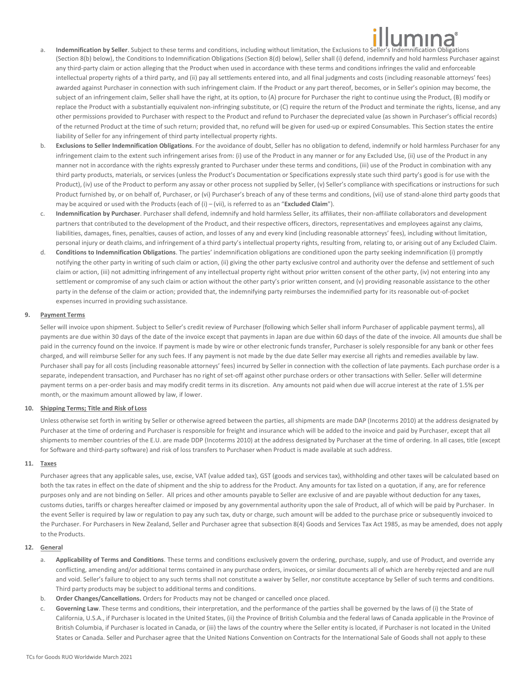- a. **Indemnification by Seller**. Subject to these terms and conditions, including without limitation, the Exclusions to Seller's Indemnification Obligations (Section 8(b) below), the Conditions to Indemnification Obligations (Section 8(d) below), Seller shall (i) defend, indemnify and hold harmless Purchaser against any third-party claim or action alleging that the Product when used in accordance with these terms and conditions infringes the valid and enforceable intellectual property rights of a third party, and (ii) pay all settlements entered into, and all final judgments and costs (including reasonable attorneys' fees) awarded against Purchaser in connection with such infringement claim. If the Product or any part thereof, becomes, or in Seller's opinion may become, the subject of an infringement claim, Seller shall have the right, at its option, to (A) procure for Purchaser the right to continue using the Product, (B) modify or replace the Product with a substantially equivalent non-infringing substitute, or (C) require the return of the Product and terminate the rights, license, and any other permissions provided to Purchaser with respect to the Product and refund to Purchaser the depreciated value (as shown in Purchaser's official records) of the returned Product at the time of such return; provided that, no refund will be given for used-up or expired Consumables. This Section states the entire liability of Seller for any infringement of third party intellectual property rights.
- b. **Exclusions to Seller Indemnification Obligations**. For the avoidance of doubt, Seller has no obligation to defend, indemnify or hold harmless Purchaser for any infringement claim to the extent such infringement arises from: (i) use of the Product in any manner or for any Excluded Use, (ii) use of the Product in any manner not in accordance with the rights expressly granted to Purchaser under these terms and conditions, (iii) use of the Product in combination with any third party products, materials, or services (unless the Product's Documentation or Specifications expressly state such third party's good is for use with the Product), (iv) use of the Product to perform any assay or other process not supplied by Seller, (v) Seller's compliance with specifications or instructions for such Product furnished by, or on behalf of, Purchaser, or (vi) Purchaser's breach of any of these terms and conditions, (vii) use of stand-alone third party goods that may be acquired or used with the Products (each of (i) – (vii), is referred to as an "**Excluded Claim**").
- c. **Indemnification by Purchaser**. Purchaser shall defend, indemnify and hold harmless Seller, its affiliates, their non-affiliate collaborators and development partners that contributed to the development of the Product, and their respective officers, directors, representatives and employees against any claims, liabilities, damages, fines, penalties, causes of action, and losses of any and every kind (including reasonable attorneys' fees), including without limitation, personal injury or death claims, and infringement of a third party's intellectual property rights, resulting from, relating to, or arising out of any Excluded Claim.
- d. **Conditions to Indemnification Obligations**. The parties' indemnification obligations are conditioned upon the party seeking indemnification (i) promptly notifying the other party in writing of such claim or action, (ii) giving the other party exclusive control and authority over the defense and settlement of such claim or action, (iii) not admitting infringement of any intellectual property right without prior written consent of the other party, (iv) not entering into any settlement or compromise of any such claim or action without the other party's prior written consent, and (v) providing reasonable assistance to the other party in the defense of the claim or action; provided that, the indemnifying party reimburses the indemnified party for its reasonable out-of-pocket expenses incurred in providing suchassistance.

# **9. Payment Terms**

Seller will invoice upon shipment. Subject to Seller's credit review of Purchaser (following which Seller shall inform Purchaser of applicable payment terms), all payments are due within 30 days of the date of the invoice except that payments in Japan are due within 60 days of the date of the invoice. All amounts due shall be paid in the currency found on the invoice. If payment is made by wire or other electronic funds transfer, Purchaser is solely responsible for any bank or other fees charged, and will reimburse Seller for any such fees. If any payment is not made by the due date Seller may exercise all rights and remedies available by law. Purchaser shall pay for all costs (including reasonable attorneys' fees) incurred by Seller in connection with the collection of late payments. Each purchase order is a separate, independent transaction, and Purchaser has no right of set-off against other purchase orders or other transactions with Seller. Seller will determine payment terms on a per-order basis and may modify credit terms in its discretion. Any amounts not paid when due will accrue interest at the rate of 1.5% per month, or the maximum amount allowed by law, if lower.

# **10. Shipping Terms; Title and Risk of Loss**

Unless otherwise set forth in writing by Seller or otherwise agreed between the parties, all shipments are made DAP (Incoterms 2010) at the address designated by Purchaser at the time of ordering and Purchaser is responsible for freight and insurance which will be added to the invoice and paid by Purchaser, except that all shipments to member countries of the E.U. are made DDP (Incoterms 2010) at the address designated by Purchaser at the time of ordering. In all cases, title (except for Software and third-party software) and risk of loss transfers to Purchaser when Product is made available at such address.

# **11. Taxes**

Purchaser agrees that any applicable sales, use, excise, VAT (value added tax), GST (goods and services tax), withholding and other taxes will be calculated based on both the tax rates in effect on the date of shipment and the ship to address for the Product. Any amounts for tax listed on a quotation, if any, are for reference purposes only and are not binding on Seller. All prices and other amounts payable to Seller are exclusive of and are payable without deduction for any taxes, customs duties, tariffs or charges hereafter claimed or imposed by any governmental authority upon the sale of Product, all of which will be paid by Purchaser. In the event Seller is required by law or regulation to pay any such tax, duty or charge, such amount will be added to the purchase price or subsequently invoiced to the Purchaser. For Purchasers in New Zealand, Seller and Purchaser agree that subsection 8(4) Goods and Services Tax Act 1985, as may be amended, does not apply to the Products.

# **12. General**

- a. **Applicability of Terms and Conditions**. These terms and conditions exclusively govern the ordering, purchase, supply, and use of Product, and override any conflicting, amending and/or additional terms contained in any purchase orders, invoices, or similar documents all of which are hereby rejected and are null and void. Seller's failure to object to any such terms shall not constitute a waiver by Seller, nor constitute acceptance by Seller of such terms and conditions. Third party products may be subject to additional terms and conditions.
- b. **Order Changes/Cancellations.** Orders for Products may not be changed or cancelled once placed.
- c. **Governing Law**. These terms and conditions, their interpretation, and the performance of the parties shall be governed by the laws of (i) the State of California, U.S.A., if Purchaser is located in the United States, (ii) the Province of British Columbia and the federal laws of Canada applicable in the Province of British Columbia, if Purchaser is located in Canada, or (iii) the laws of the country where the Seller entity is located, if Purchaser is not located in the United States or Canada. Seller and Purchaser agree that the United Nations Convention on Contracts for the International Sale of Goods shall not apply to these